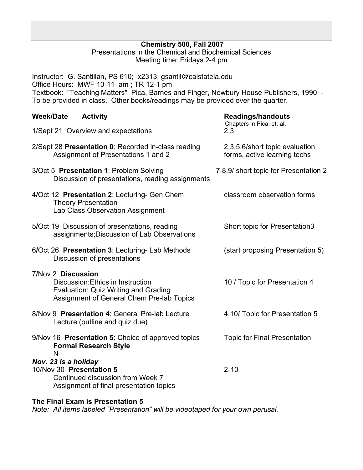## **Chemistry 500, Fall 2007**

Presentations in the Chemical and Biochemical Sciences Meeting time: Fridays 2-4 pm

Instructor: G. Santillan, PS 610; x2313; gsantil@calstatela.edu Office Hours: MWF 10-11 am ; TR 12-1 pm Textbook: "Teaching Matters" Pica, Barnes and Finger, Newbury House Publishers, 1990 - To be provided in class. Other books/readings may be provided over the quarter.

| <b>Week/Date</b><br><b>Activity</b>                                                                                                          | <b>Readings/handouts</b><br>Chapters in Pica, et. al.          |
|----------------------------------------------------------------------------------------------------------------------------------------------|----------------------------------------------------------------|
| 1/Sept 21 Overview and expectations                                                                                                          | 2,3                                                            |
| 2/Sept 28 Presentation 0: Recorded in-class reading<br>Assignment of Presentations 1 and 2                                                   | 2,3,5,6/short topic evaluation<br>forms, active learning techs |
| 3/Oct 5 Presentation 1: Problem Solving<br>Discussion of presentations, reading assignments                                                  | 7,8,9/ short topic for Presentation 2                          |
| 4/Oct 12 Presentation 2: Lecturing- Gen Chem<br><b>Theory Presentation</b><br>Lab Class Observation Assignment                               | classroom observation forms                                    |
| 5/Oct 19 Discussion of presentations, reading<br>assignments; Discussion of Lab Observations                                                 | Short topic for Presentation3                                  |
| 6/Oct 26 Presentation 3: Lecturing- Lab Methods<br>Discussion of presentations                                                               | (start proposing Presentation 5)                               |
| 7/Nov 2 Discussion<br>Discussion: Ethics in Instruction<br>Evaluation: Quiz Writing and Grading<br>Assignment of General Chem Pre-lab Topics | 10 / Topic for Presentation 4                                  |
| 8/Nov 9 Presentation 4: General Pre-lab Lecture<br>Lecture (outline and quiz due)                                                            | 4,10/ Topic for Presentation 5                                 |
| 9/Nov 16 Presentation 5: Choice of approved topics<br><b>Formal Research Style</b><br>N                                                      | <b>Topic for Final Presentation</b>                            |
| Nov. 23 is a holiday<br>10/Nov 30 Presentation 5<br>Continued discussion from Week 7<br>Assignment of final presentation topics              | $2 - 10$                                                       |
|                                                                                                                                              |                                                                |

**The Final Exam is Presentation 5**

*Note: All items labeled "Presentation" will be videotaped for your own perusal.*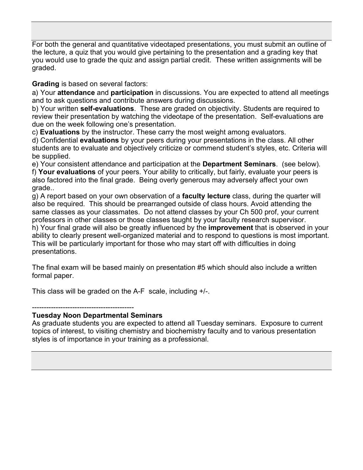For both the general and quantitative videotaped presentations, you must submit an outline of the lecture, a quiz that you would give pertaining to the presentation and a grading key that you would use to grade the quiz and assign partial credit. These written assignments will be graded.

**Grading** is based on several factors:

a) Your **attendance** and **participation** in discussions. You are expected to attend all meetings and to ask questions and contribute answers during discussions.

b) Your written **self-evaluations**. These are graded on objectivity. Students are required to review their presentation by watching the videotape of the presentation. Self-evaluations are due on the week following one's presentation.

c) **Evaluations** by the instructor. These carry the most weight among evaluators.

d) Confidential **evaluations** by your peers during your presentations in the class. All other students are to evaluate and objectively criticize or commend student's styles, etc. Criteria will be supplied.

e) Your consistent attendance and participation at the **Department Seminars**. (see below). f) **Your evaluations** of your peers. Your ability to critically, but fairly, evaluate your peers is also factored into the final grade. Being overly generous may adversely affect your own grade..

g) A report based on your own observation of a **faculty lecture** class, during the quarter will also be required. This should be prearranged outside of class hours. Avoid attending the same classes as your classmates. Do not attend classes by your Ch 500 prof, your current professors in other classes or those classes taught by your faculty research supervisor.

h) Your final grade will also be greatly influenced by the **improvement** that is observed in your ability to clearly present well-organized material and to respond to questions is most important. This will be particularly important for those who may start off with difficulties in doing presentations.

The final exam will be based mainly on presentation #5 which should also include a written formal paper.

This class will be graded on the A-F scale, including +/-.

-------------------------------------------

## **Tuesday Noon Departmental Seminars**

As graduate students you are expected to attend all Tuesday seminars. Exposure to current topics of interest, to visiting chemistry and biochemistry faculty and to various presentation styles is of importance in your training as a professional.